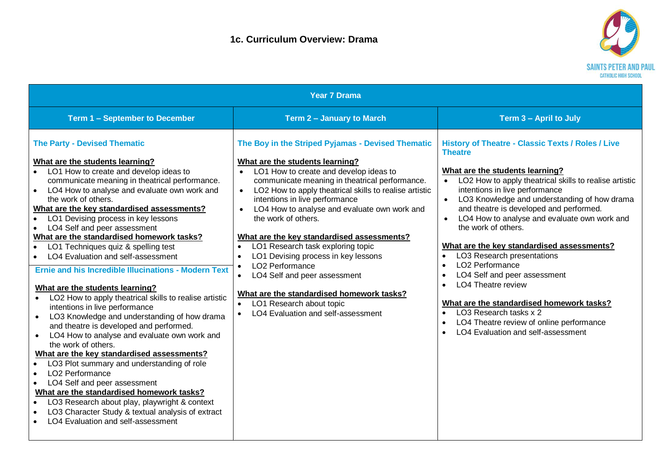

| <b>Year 7 Drama</b>                                                                                                                                                                                                                                                                                                                                                                                                                                                                                                                                                                                                                                                                                                                                                                                                                                                                                                                                                                                                                                                                                                                                                                                                        |                                                                                                                                                                                                                                                                                                                                                                                                                                                                                                                                                                                                                                                                                                                                                        |                                                                                                                                                                                                                                                                                                                                                                                                                                                                                                                                                                                                                                                                                                                                                                                                |  |
|----------------------------------------------------------------------------------------------------------------------------------------------------------------------------------------------------------------------------------------------------------------------------------------------------------------------------------------------------------------------------------------------------------------------------------------------------------------------------------------------------------------------------------------------------------------------------------------------------------------------------------------------------------------------------------------------------------------------------------------------------------------------------------------------------------------------------------------------------------------------------------------------------------------------------------------------------------------------------------------------------------------------------------------------------------------------------------------------------------------------------------------------------------------------------------------------------------------------------|--------------------------------------------------------------------------------------------------------------------------------------------------------------------------------------------------------------------------------------------------------------------------------------------------------------------------------------------------------------------------------------------------------------------------------------------------------------------------------------------------------------------------------------------------------------------------------------------------------------------------------------------------------------------------------------------------------------------------------------------------------|------------------------------------------------------------------------------------------------------------------------------------------------------------------------------------------------------------------------------------------------------------------------------------------------------------------------------------------------------------------------------------------------------------------------------------------------------------------------------------------------------------------------------------------------------------------------------------------------------------------------------------------------------------------------------------------------------------------------------------------------------------------------------------------------|--|
| Term 1 - September to December                                                                                                                                                                                                                                                                                                                                                                                                                                                                                                                                                                                                                                                                                                                                                                                                                                                                                                                                                                                                                                                                                                                                                                                             | Term 2 - January to March                                                                                                                                                                                                                                                                                                                                                                                                                                                                                                                                                                                                                                                                                                                              | Term 3 - April to July                                                                                                                                                                                                                                                                                                                                                                                                                                                                                                                                                                                                                                                                                                                                                                         |  |
| <b>The Party - Devised Thematic</b><br>What are the students learning?<br>LO1 How to create and develop ideas to<br>communicate meaning in theatrical performance.<br>LO4 How to analyse and evaluate own work and<br>$\bullet$<br>the work of others.<br>What are the key standardised assessments?<br>LO1 Devising process in key lessons<br>LO4 Self and peer assessment<br>What are the standardised homework tasks?<br>LO1 Techniques quiz & spelling test<br>LO4 Evaluation and self-assessment<br><b>Ernie and his Incredible Illucinations - Modern Text</b><br>What are the students learning?<br>LO2 How to apply theatrical skills to realise artistic<br>intentions in live performance<br>LO3 Knowledge and understanding of how drama<br>$\bullet$<br>and theatre is developed and performed.<br>LO4 How to analyse and evaluate own work and<br>the work of others.<br>What are the key standardised assessments?<br>LO3 Plot summary and understanding of role<br>LO2 Performance<br>LO4 Self and peer assessment<br>What are the standardised homework tasks?<br>LO3 Research about play, playwright & context<br>LO3 Character Study & textual analysis of extract<br>LO4 Evaluation and self-assessment | The Boy in the Striped Pyjamas - Devised Thematic<br>What are the students learning?<br>LO1 How to create and develop ideas to<br>$\bullet$<br>communicate meaning in theatrical performance.<br>LO2 How to apply theatrical skills to realise artistic<br>$\bullet$<br>intentions in live performance<br>LO4 How to analyse and evaluate own work and<br>$\bullet$<br>the work of others.<br>What are the key standardised assessments?<br>LO1 Research task exploring topic<br>$\bullet$<br>LO1 Devising process in key lessons<br>$\bullet$<br>LO <sub>2</sub> Performance<br>$\bullet$<br>LO4 Self and peer assessment<br>What are the standardised homework tasks?<br>LO1 Research about topic<br>LO4 Evaluation and self-assessment<br>$\bullet$ | <b>History of Theatre - Classic Texts / Roles / Live</b><br><b>Theatre</b><br>What are the students learning?<br>LO2 How to apply theatrical skills to realise artistic<br>intentions in live performance<br>• LO3 Knowledge and understanding of how drama<br>and theatre is developed and performed.<br>• LO4 How to analyse and evaluate own work and<br>the work of others.<br>What are the key standardised assessments?<br>LO3 Research presentations<br>$\bullet$<br>LO <sub>2</sub> Performance<br>$\bullet$<br>LO4 Self and peer assessment<br>$\bullet$<br><b>LO4 Theatre review</b><br>$\bullet$<br>What are the standardised homework tasks?<br>LO3 Research tasks x 2<br>$\bullet$<br>LO4 Theatre review of online performance<br>$\bullet$<br>LO4 Evaluation and self-assessment |  |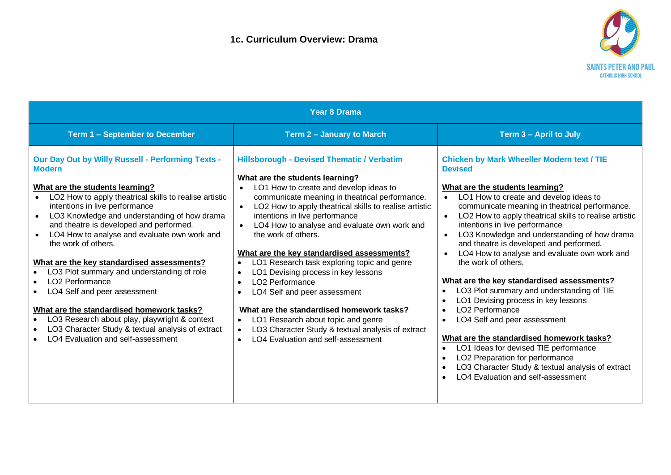

| <b>Year 8 Drama</b>                                                                                                                                                                                                                                                                                                                                                                                                                                                                                                                                                                                                                                                                                                                                                                                  |                                                                                                                                                                                                                                                                                                                                                                                                                                                                                                                                                                                                                                                                                                                                                                                                                                              |                                                                                                                                                                                                                                                                                                                                                                                                                                                                                                                                                                                                                                                                                                                                                                                                                                                                                                                                                                                                                                |  |
|------------------------------------------------------------------------------------------------------------------------------------------------------------------------------------------------------------------------------------------------------------------------------------------------------------------------------------------------------------------------------------------------------------------------------------------------------------------------------------------------------------------------------------------------------------------------------------------------------------------------------------------------------------------------------------------------------------------------------------------------------------------------------------------------------|----------------------------------------------------------------------------------------------------------------------------------------------------------------------------------------------------------------------------------------------------------------------------------------------------------------------------------------------------------------------------------------------------------------------------------------------------------------------------------------------------------------------------------------------------------------------------------------------------------------------------------------------------------------------------------------------------------------------------------------------------------------------------------------------------------------------------------------------|--------------------------------------------------------------------------------------------------------------------------------------------------------------------------------------------------------------------------------------------------------------------------------------------------------------------------------------------------------------------------------------------------------------------------------------------------------------------------------------------------------------------------------------------------------------------------------------------------------------------------------------------------------------------------------------------------------------------------------------------------------------------------------------------------------------------------------------------------------------------------------------------------------------------------------------------------------------------------------------------------------------------------------|--|
| Term 1 - September to December                                                                                                                                                                                                                                                                                                                                                                                                                                                                                                                                                                                                                                                                                                                                                                       | Term 2 - January to March                                                                                                                                                                                                                                                                                                                                                                                                                                                                                                                                                                                                                                                                                                                                                                                                                    | Term 3 - April to July                                                                                                                                                                                                                                                                                                                                                                                                                                                                                                                                                                                                                                                                                                                                                                                                                                                                                                                                                                                                         |  |
| <b>Our Day Out by Willy Russell - Performing Texts -</b><br><b>Modern</b><br>What are the students learning?<br>LO2 How to apply theatrical skills to realise artistic<br>$\bullet$<br>intentions in live performance<br>LO3 Knowledge and understanding of how drama<br>$\bullet$<br>and theatre is developed and performed.<br>LO4 How to analyse and evaluate own work and<br>$\bullet$<br>the work of others.<br>What are the key standardised assessments?<br>LO3 Plot summary and understanding of role<br>$\bullet$<br>LO <sub>2</sub> Performance<br>LO4 Self and peer assessment<br>What are the standardised homework tasks?<br>LO3 Research about play, playwright & context<br>$\bullet$<br>LO3 Character Study & textual analysis of extract<br>٠<br>LO4 Evaluation and self-assessment | <b>Hillsborough - Devised Thematic / Verbatim</b><br>What are the students learning?<br>LO1 How to create and develop ideas to<br>$\bullet$<br>communicate meaning in theatrical performance.<br>LO2 How to apply theatrical skills to realise artistic<br>$\bullet$<br>intentions in live performance<br>LO4 How to analyse and evaluate own work and<br>the work of others.<br>What are the key standardised assessments?<br>LO1 Research task exploring topic and genre<br>$\bullet$<br>LO1 Devising process in key lessons<br>$\bullet$<br>LO <sub>2</sub> Performance<br>$\bullet$<br>LO4 Self and peer assessment<br>$\bullet$<br>What are the standardised homework tasks?<br>LO1 Research about topic and genre<br>LO3 Character Study & textual analysis of extract<br>$\bullet$<br>LO4 Evaluation and self-assessment<br>$\bullet$ | <b>Chicken by Mark Wheeller Modern text / TIE</b><br><b>Devised</b><br>What are the students learning?<br>LO1 How to create and develop ideas to<br>communicate meaning in theatrical performance.<br>LO2 How to apply theatrical skills to realise artistic<br>$\bullet$<br>intentions in live performance<br>LO3 Knowledge and understanding of how drama<br>$\bullet$<br>and theatre is developed and performed.<br>LO4 How to analyse and evaluate own work and<br>the work of others.<br>What are the key standardised assessments?<br>LO3 Plot summary and understanding of TIE<br>$\bullet$<br>LO1 Devising process in key lessons<br>$\bullet$<br>LO <sub>2</sub> Performance<br>$\bullet$<br>LO4 Self and peer assessment<br>$\bullet$<br>What are the standardised homework tasks?<br>LO1 Ideas for devised TIE performance<br>$\bullet$<br>LO2 Preparation for performance<br>$\bullet$<br>LO3 Character Study & textual analysis of extract<br>$\bullet$<br><b>LO4 Evaluation and self-assessment</b><br>$\bullet$ |  |